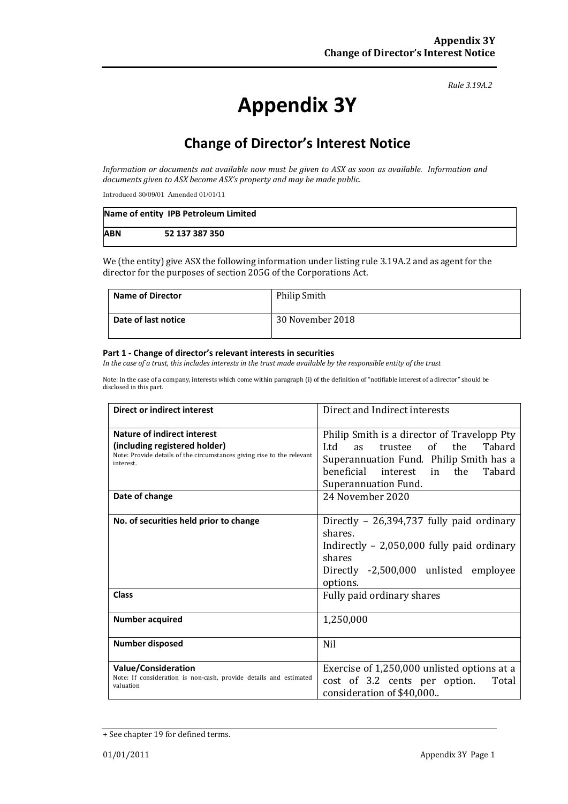#### *Rule 3.19A.2*

# **Appendix 3Y**

# **Change of Director's Interest Notice**

*Information or documents not available now must be given to ASX as soon as available. Information and documents given to ASX become ASX's property and may be made public.*

Introduced 30/09/01 Amended 01/01/11

|            | Name of entity IPB Petroleum Limited |
|------------|--------------------------------------|
| <b>ABN</b> | 52 137 387 350                       |

We (the entity) give ASX the following information under listing rule 3.19A.2 and as agent for the director for the purposes of section 205G of the Corporations Act.

| <b>Name of Director</b> | Philip Smith     |
|-------------------------|------------------|
| Date of last notice     | 30 November 2018 |

#### **Part 1 - Change of director's relevant interests in securities**

*In the case of a trust, this includes interests in the trust made available by the responsible entity of the trust*

Note: In the case of a company, interests which come within paragraph (i) of the definition of "notifiable interest of a director" should be disclosed in this part.

| <b>Direct or indirect interest</b>                                                                                                                                           | Direct and Indirect interests                                                                                                                                                                                                    |  |
|------------------------------------------------------------------------------------------------------------------------------------------------------------------------------|----------------------------------------------------------------------------------------------------------------------------------------------------------------------------------------------------------------------------------|--|
| <b>Nature of indirect interest</b><br>(including registered holder)<br>Note: Provide details of the circumstances giving rise to the relevant<br>interest.<br>Date of change | Philip Smith is a director of Travelopp Pty<br>Ltd<br>of the<br>Tabard<br>trustee<br><b>as</b><br>Superannuation Fund. Philip Smith has a<br>in the<br>beneficial interest<br>Tabard<br>Superannuation Fund.<br>24 November 2020 |  |
| No. of securities held prior to change                                                                                                                                       | Directly - 26,394,737 fully paid ordinary<br>shares.<br>Indirectly $-2,050,000$ fully paid ordinary<br>shares<br>Directly -2,500,000 unlisted employee<br>options.                                                               |  |
| Class                                                                                                                                                                        | Fully paid ordinary shares                                                                                                                                                                                                       |  |
| <b>Number acquired</b>                                                                                                                                                       | 1,250,000                                                                                                                                                                                                                        |  |
| <b>Number disposed</b>                                                                                                                                                       | Nil                                                                                                                                                                                                                              |  |
| <b>Value/Consideration</b><br>Note: If consideration is non-cash, provide details and estimated<br>valuation                                                                 | Exercise of 1,250,000 unlisted options at a<br>cost of 3.2 cents per option.<br>Total<br>consideration of \$40,000                                                                                                               |  |

<sup>+</sup> See chapter 19 for defined terms.